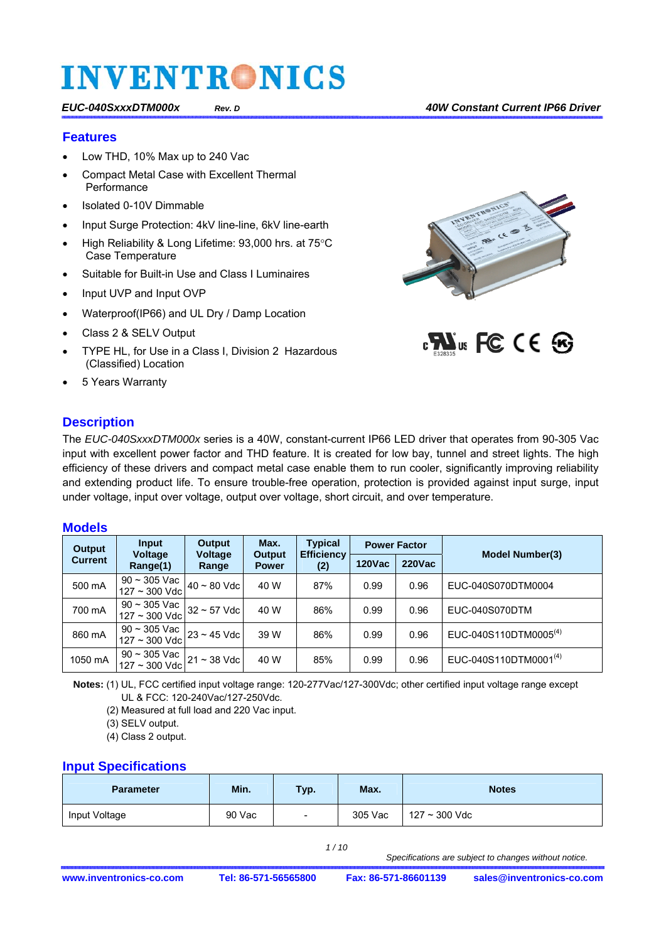#### **Features**

- Low THD, 10% Max up to 240 Vac
- Compact Metal Case with Excellent Thermal **Performance**
- Isolated 0-10V Dimmable
- Input Surge Protection: 4kV line-line, 6kV line-earth
- High Reliability & Long Lifetime: 93,000 hrs. at 75°C Case Temperature
- Suitable for Built-in Use and Class I Luminaires
- Input UVP and Input OVP
- Waterproof(IP66) and UL Dry / Damp Location
- Class 2 & SELV Output
- TYPE HL, for Use in a Class I, Division 2 Hazardous (Classified) Location
- 5 Years Warranty

### **Description**





The *EUC-040SxxxDTM000x* series is a 40W, constant-current IP66 LED driver that operates from 90-305 Vac input with excellent power factor and THD feature. It is created for low bay, tunnel and street lights. The high efficiency of these drivers and compact metal case enable them to run cooler, significantly improving reliability and extending product life. To ensure trouble-free operation, protection is provided against input surge, input under voltage, input over voltage, output over voltage, short circuit, and over temperature.

#### **Models**

| Output         | <b>Input</b><br><b>Voltage</b>                                                                                                        | Output<br><b>Voltage</b> | Max.<br><b>Output</b> | <b>Typical</b><br><b>Efficiency</b><br>(2) | <b>Power Factor</b> |           | <b>Model Number(3)</b>            |
|----------------|---------------------------------------------------------------------------------------------------------------------------------------|--------------------------|-----------------------|--------------------------------------------|---------------------|-----------|-----------------------------------|
| <b>Current</b> | Range(1)                                                                                                                              | Range                    | <b>Power</b>          |                                            | <b>120Vac</b>       | $220$ Vac |                                   |
| 500 mA         | 90 ~ 305 Vac $\vert$ 40 ~ 80 Vdc $\vert$ 127 ~ 300 Vdc $\vert$                                                                        |                          | 40 W                  | 87%                                        | 0.99                | 0.96      | EUC-040S070DTM0004                |
| 700 mA         | $\begin{array}{ l l l } \hline 90 \sim 305 \text{ Vac} & 32 \sim 57 \text{ Vdc} \hline 127 \sim 300 \text{ Vdc} & \hline \end{array}$ |                          | 40 W                  | 86%                                        | 0.99                | 0.96      | EUC-040S070DTM                    |
| 860 mA         | $\begin{array}{c c} 90 \sim 305 \text{ Vac} & 23 \sim 45 \text{ Vdc} & 127 \sim 300 \text{ Vdc} & 23 \sim 45 \text{ Vdc} \end{array}$ |                          | 39 W                  | 86%                                        | 0.99                | 0.96      | EUC-040S110DTM0005 <sup>(4)</sup> |
| 1050 mA        | $\begin{array}{c c} 90 \sim 305 \text{ Vac} & 21 \sim 38 \text{ Vdc} \end{array}$<br>127 ~ 300 Vdc 21 ~ 38 Vdc                        |                          | 40 W                  | 85%                                        | 0.99                | 0.96      | EUC-040S110DTM0001 <sup>(4)</sup> |

**Notes:** (1) UL, FCC certified input voltage range: 120-277Vac/127-300Vdc; other certified input voltage range except UL & FCC: 120-240Vac/127-250Vdc.

(2) Measured at full load and 220 Vac input.

(3) SELV output.

(4) Class 2 output.

#### **Input Specifications**

| <b>Parameter</b> | Min.   | Typ.   | Max.    | <b>Notes</b>    |
|------------------|--------|--------|---------|-----------------|
| Input Voltage    | 90 Vac | $\sim$ | 305 Vac | $127 - 300$ Vdc |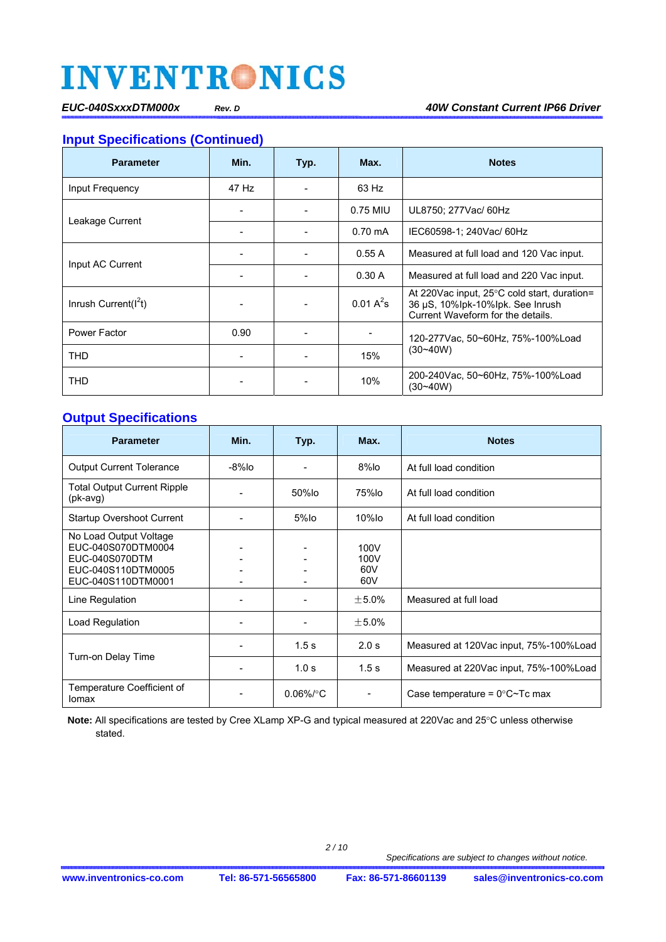*EUC-040SxxxDTM000x Rev. D 40W Constant Current IP66 Driver* 

### **Input Specifications (Continued)**

| <b>Parameter</b>         | Min.  | Typ.     | Max.         | <b>Notes</b>                                                                                                           |
|--------------------------|-------|----------|--------------|------------------------------------------------------------------------------------------------------------------------|
| Input Frequency          | 47 Hz |          | 63 Hz        |                                                                                                                        |
|                          |       | 0.75 MIU |              | UL8750; 277Vac/ 60Hz                                                                                                   |
| Leakage Current          |       |          | $0.70$ mA    | IEC60598-1; 240Vac/ 60Hz                                                                                               |
| Input AC Current         |       |          | 0.55A        | Measured at full load and 120 Vac input.                                                                               |
|                          |       |          | 0.30A        | Measured at full load and 220 Vac input.                                                                               |
| Inrush Current( $I^2t$ ) |       |          | $0.01 A^2$ s | At 220 Vac input, 25 °C cold start, duration=<br>36 µS, 10%lpk-10%lpk. See Inrush<br>Current Waveform for the details. |
| Power Factor             | 0.90  |          |              | 120-277 Vac. 50~60 Hz. 75%-100% Load                                                                                   |
| <b>THD</b>               |       |          | 15%          | $(30 - 40W)$                                                                                                           |
| <b>THD</b>               |       |          | 10%          | 200-240Vac, 50~60Hz, 75%-100%Load<br>$(30 - 40W)$                                                                      |

### **Output Specifications**

| <b>Parameter</b>                                                                                           | Min.      | Typ.             | Max.                         | <b>Notes</b>                                   |
|------------------------------------------------------------------------------------------------------------|-----------|------------------|------------------------------|------------------------------------------------|
| <b>Output Current Tolerance</b>                                                                            | $-8\%$ lo |                  | $8\%$ lo                     | At full load condition                         |
| <b>Total Output Current Ripple</b><br>$(pk$ -avg $)$                                                       |           | 50%lo            | 75%lo                        | At full load condition                         |
| <b>Startup Overshoot Current</b>                                                                           |           | $5%$ lo          | $10\%$ lo                    | At full load condition                         |
| No Load Output Voltage<br>EUC-040S070DTM0004<br>EUC-040S070DTM<br>EUC-040S110DTM0005<br>EUC-040S110DTM0001 |           |                  | 100V<br>100V<br>60V<br>60V   |                                                |
| Line Regulation                                                                                            |           |                  | $±5.0\%$                     | Measured at full load                          |
| Load Regulation                                                                                            |           |                  | $±5.0\%$                     |                                                |
|                                                                                                            |           | 1.5 <sub>s</sub> | 2.0 s                        | Measured at 120Vac input, 75%-100% Load        |
| Turn-on Delay Time                                                                                         |           | 1.0 s            | 1.5 <sub>s</sub>             | Measured at 220Vac input, 75%-100% Load        |
| Temperature Coefficient of<br>lomax                                                                        |           | $0.06\%$ /°C     | $\qquad \qquad \blacksquare$ | Case temperature = $0^{\circ}$ C $\sim$ Tc max |

Note: All specifications are tested by Cree XLamp XP-G and typical measured at 220Vac and 25°C unless otherwise stated.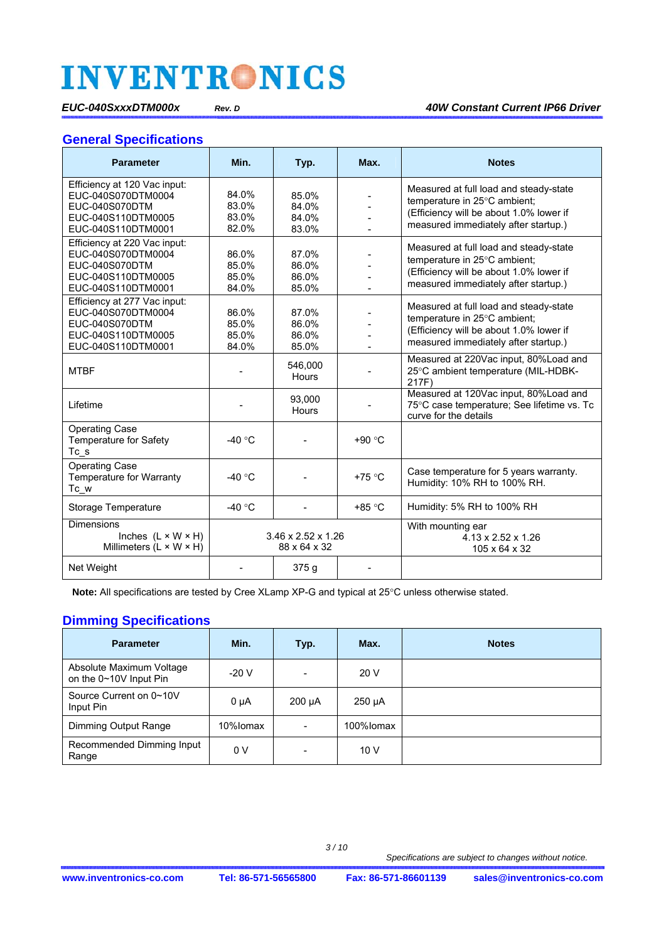#### *EUC-040SxxxDTM000x Rev. D 40W Constant Current IP66 Driver*

#### **General Specifications**

| <b>Parameter</b>                                                                                                 | Min.                                           | Typ.                             | Max.     | <b>Notes</b>                                                                                                                                              |
|------------------------------------------------------------------------------------------------------------------|------------------------------------------------|----------------------------------|----------|-----------------------------------------------------------------------------------------------------------------------------------------------------------|
| Efficiency at 120 Vac input:<br>EUC-040S070DTM0004<br>EUC-040S070DTM<br>EUC-040S110DTM0005<br>EUC-040S110DTM0001 | 84.0%<br>83.0%<br>83.0%<br>82.0%               | 85.0%<br>84.0%<br>84.0%<br>83.0% |          | Measured at full load and steady-state<br>temperature in 25°C ambient;<br>(Efficiency will be about 1.0% lower if<br>measured immediately after startup.) |
| Efficiency at 220 Vac input:<br>EUC-040S070DTM0004<br>EUC-040S070DTM<br>EUC-040S110DTM0005<br>EUC-040S110DTM0001 | 86.0%<br>85.0%<br>85.0%<br>84.0%               | 87.0%<br>86.0%<br>86.0%<br>85.0% |          | Measured at full load and steady-state<br>temperature in 25°C ambient;<br>(Efficiency will be about 1.0% lower if<br>measured immediately after startup.) |
| Efficiency at 277 Vac input:<br>EUC-040S070DTM0004<br>EUC-040S070DTM<br>EUC-040S110DTM0005<br>EUC-040S110DTM0001 | 86.0%<br>85.0%<br>85.0%<br>84.0%               | 87.0%<br>86.0%<br>86.0%<br>85.0% |          | Measured at full load and steady-state<br>temperature in 25°C ambient;<br>(Efficiency will be about 1.0% lower if<br>measured immediately after startup.) |
| <b>MTBF</b>                                                                                                      |                                                | 546,000<br><b>Hours</b>          |          | Measured at 220Vac input, 80%Load and<br>25°C ambient temperature (MIL-HDBK-<br>217F)                                                                     |
| Lifetime                                                                                                         |                                                | 93,000<br><b>Hours</b>           |          | Measured at 120Vac input, 80%Load and<br>75°C case temperature; See lifetime vs. Tc<br>curve for the details                                              |
| <b>Operating Case</b><br><b>Temperature for Safety</b><br>$Tc$ <sub>_s</sub>                                     | -40 $\degree$ C                                |                                  | $+90 °C$ |                                                                                                                                                           |
| Operating Case<br>Temperature for Warranty<br>Tc_w                                                               | $-40 °C$                                       |                                  | $+75 °C$ | Case temperature for 5 years warranty.<br>Humidity: 10% RH to 100% RH.                                                                                    |
| Storage Temperature                                                                                              | -40 $\degree$ C                                |                                  | $+85 °C$ | Humidity: 5% RH to 100% RH                                                                                                                                |
| <b>Dimensions</b><br>Inches $(L \times W \times H)$<br>Millimeters $(L \times W \times H)$                       | $3.46 \times 2.52 \times 1.26$<br>88 x 64 x 32 |                                  |          | With mounting ear<br>$4.13 \times 2.52 \times 1.26$<br>105 x 64 x 32                                                                                      |
| Net Weight                                                                                                       |                                                | 375g                             |          |                                                                                                                                                           |

Note: All specifications are tested by Cree XLamp XP-G and typical at 25°C unless otherwise stated.

### **Dimming Specifications**

| <b>Parameter</b>                                   | Min.      | Typ.                         | Max.        | <b>Notes</b> |
|----------------------------------------------------|-----------|------------------------------|-------------|--------------|
| Absolute Maximum Voltage<br>on the 0~10V Input Pin | $-20V$    | $\overline{\phantom{0}}$     | 20V         |              |
| Source Current on 0~10V<br>Input Pin               | $0 \mu A$ | $200 \mu A$                  | $250 \mu A$ |              |
| Dimming Output Range                               | 10%lomax  | $\qquad \qquad \blacksquare$ | 100%lomax   |              |
| Recommended Dimming Input<br>Range                 | 0 V       | $\overline{\phantom{0}}$     | 10V         |              |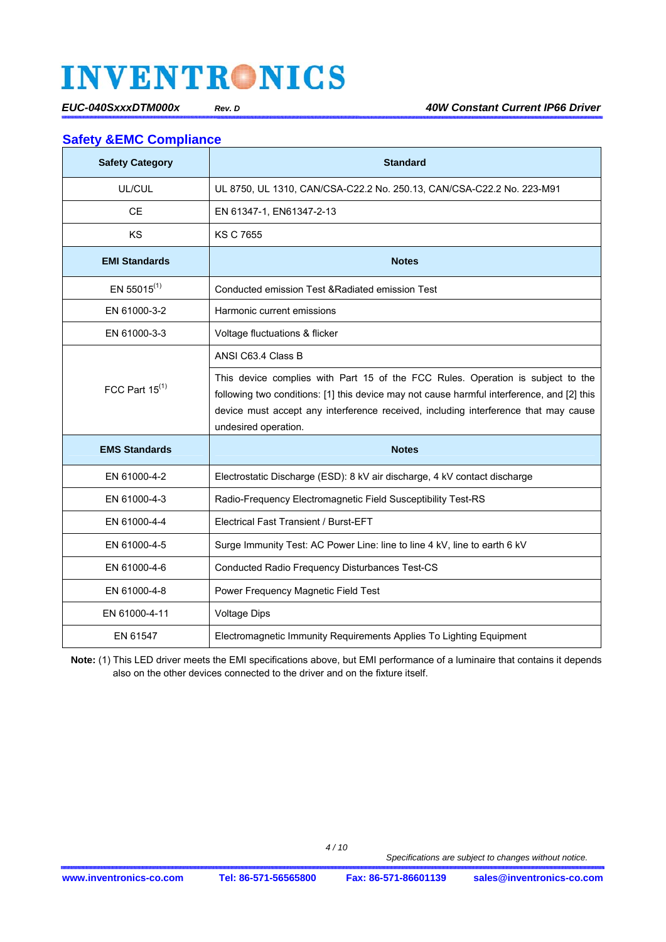### **Safety &EMC Compliance**

| <b>Safety Category</b> | <b>Standard</b>                                                                                                                                                                                                                                                                              |
|------------------------|----------------------------------------------------------------------------------------------------------------------------------------------------------------------------------------------------------------------------------------------------------------------------------------------|
| UL/CUL                 | UL 8750, UL 1310, CAN/CSA-C22.2 No. 250.13, CAN/CSA-C22.2 No. 223-M91                                                                                                                                                                                                                        |
| <b>CE</b>              | EN 61347-1, EN61347-2-13                                                                                                                                                                                                                                                                     |
| <b>KS</b>              | <b>KS C 7655</b>                                                                                                                                                                                                                                                                             |
| <b>EMI Standards</b>   | <b>Notes</b>                                                                                                                                                                                                                                                                                 |
| EN 55015 $(1)$         | Conducted emission Test & Radiated emission Test                                                                                                                                                                                                                                             |
| EN 61000-3-2           | Harmonic current emissions                                                                                                                                                                                                                                                                   |
| EN 61000-3-3           | Voltage fluctuations & flicker                                                                                                                                                                                                                                                               |
|                        | ANSI C63.4 Class B                                                                                                                                                                                                                                                                           |
| FCC Part $15^{(1)}$    | This device complies with Part 15 of the FCC Rules. Operation is subject to the<br>following two conditions: [1] this device may not cause harmful interference, and [2] this<br>device must accept any interference received, including interference that may cause<br>undesired operation. |
| <b>EMS Standards</b>   | <b>Notes</b>                                                                                                                                                                                                                                                                                 |
| EN 61000-4-2           | Electrostatic Discharge (ESD): 8 kV air discharge, 4 kV contact discharge                                                                                                                                                                                                                    |
| EN 61000-4-3           | Radio-Frequency Electromagnetic Field Susceptibility Test-RS                                                                                                                                                                                                                                 |
| EN 61000-4-4           | <b>Electrical Fast Transient / Burst-EFT</b>                                                                                                                                                                                                                                                 |
| EN 61000-4-5           | Surge Immunity Test: AC Power Line: line to line 4 kV, line to earth 6 kV                                                                                                                                                                                                                    |
| EN 61000-4-6           | Conducted Radio Frequency Disturbances Test-CS                                                                                                                                                                                                                                               |
| EN 61000-4-8           | Power Frequency Magnetic Field Test                                                                                                                                                                                                                                                          |
| EN 61000-4-11          | <b>Voltage Dips</b>                                                                                                                                                                                                                                                                          |
| EN 61547               | Electromagnetic Immunity Requirements Applies To Lighting Equipment                                                                                                                                                                                                                          |

**Note:** (1) This LED driver meets the EMI specifications above, but EMI performance of a luminaire that contains it depends also on the other devices connected to the driver and on the fixture itself.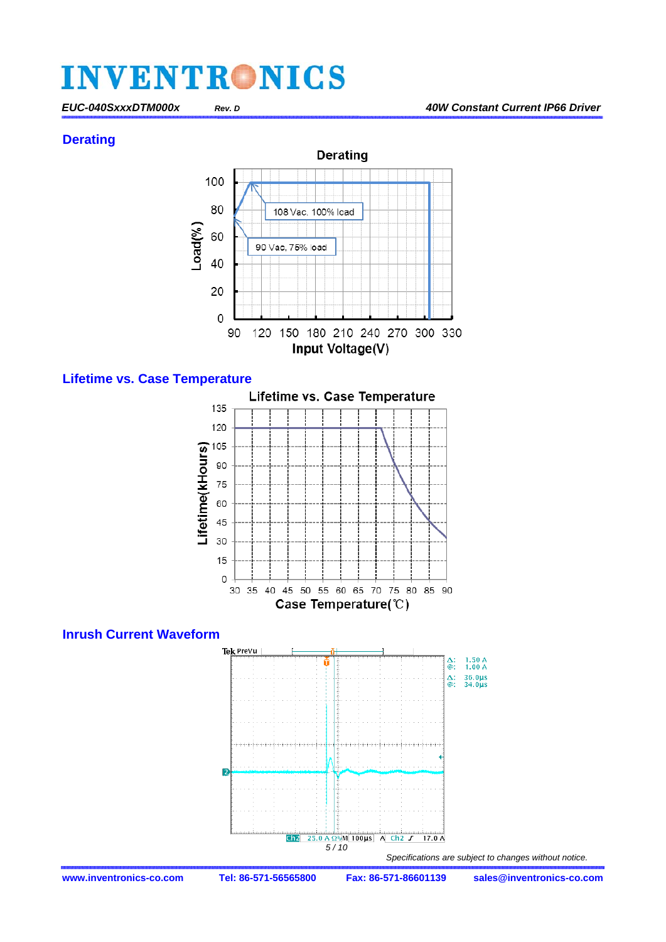#### **Derating**



#### **Lifetime vs. Case Temperature**

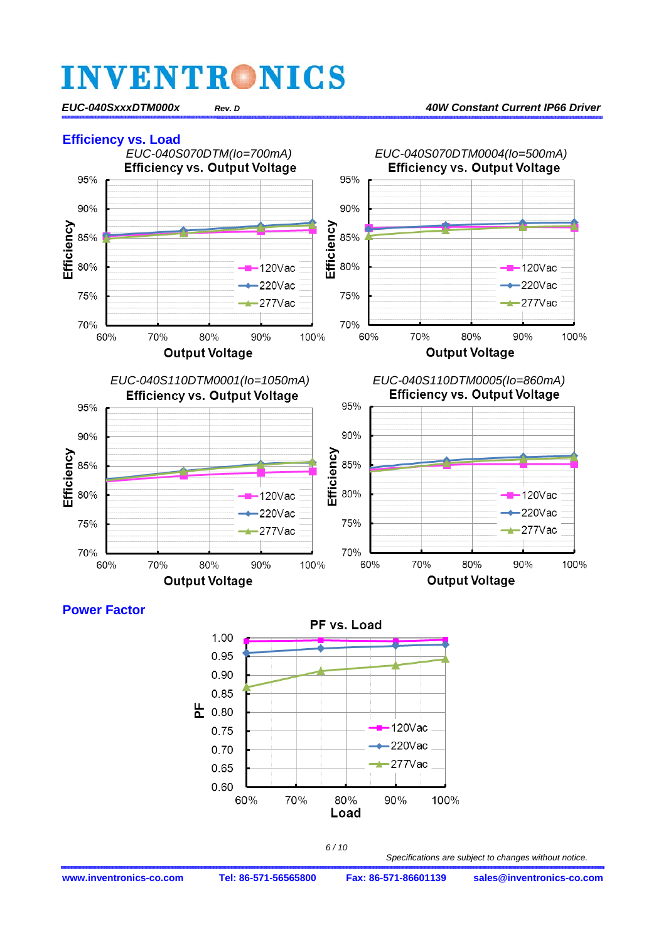

### **Power Factor**





**www.inventronics-co.com Tel: 86-571-56565800 Fax: 86-571-86601139 sales@inventronics-co.com**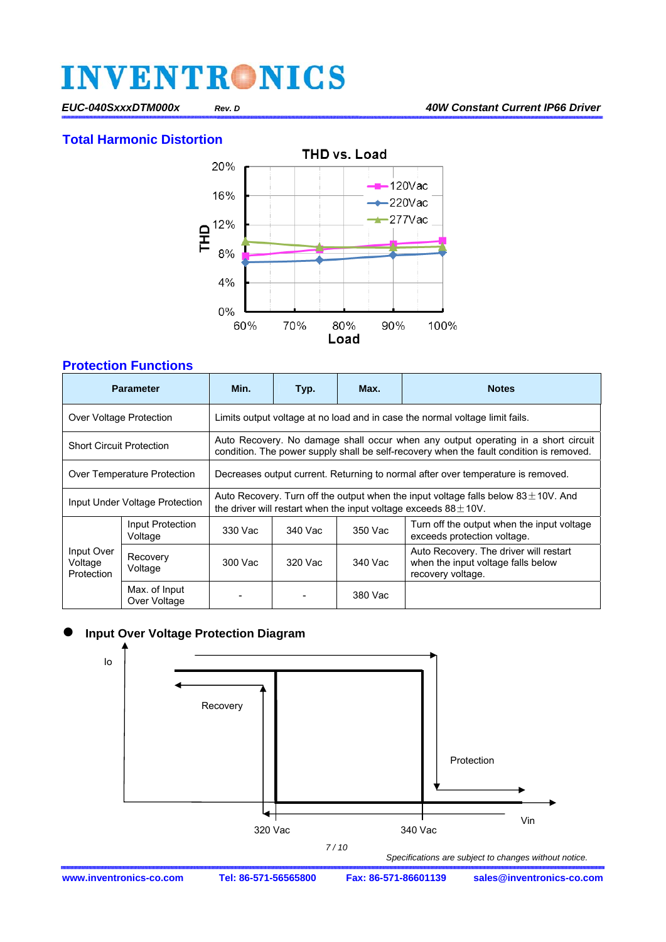**Total Harmonic Distortion** 



### **Protection Functions**

|                                     | <b>Parameter</b>              | Min.                                                                                                                                                                         | Typ.    | Max.    | <b>Notes</b>                                                                                      |  |  |
|-------------------------------------|-------------------------------|------------------------------------------------------------------------------------------------------------------------------------------------------------------------------|---------|---------|---------------------------------------------------------------------------------------------------|--|--|
| Over Voltage Protection             |                               | Limits output voltage at no load and in case the normal voltage limit fails.                                                                                                 |         |         |                                                                                                   |  |  |
| <b>Short Circuit Protection</b>     |                               | Auto Recovery. No damage shall occur when any output operating in a short circuit<br>condition. The power supply shall be self-recovery when the fault condition is removed. |         |         |                                                                                                   |  |  |
| Over Temperature Protection         |                               | Decreases output current. Returning to normal after over temperature is removed.                                                                                             |         |         |                                                                                                   |  |  |
| Input Under Voltage Protection      |                               | Auto Recovery. Turn off the output when the input voltage falls below $83\pm10$ V. And<br>the driver will restart when the input voltage exceeds $88 \pm 10$ V.              |         |         |                                                                                                   |  |  |
|                                     | Input Protection<br>Voltage   | 330 Vac                                                                                                                                                                      | 340 Vac | 350 Vac | Turn off the output when the input voltage<br>exceeds protection voltage.                         |  |  |
| Input Over<br>Voltage<br>Protection | Recovery<br>Voltage           | 300 Vac                                                                                                                                                                      | 320 Vac | 340 Vac | Auto Recovery. The driver will restart<br>when the input voltage falls below<br>recovery voltage. |  |  |
|                                     | Max. of Input<br>Over Voltage |                                                                                                                                                                              |         | 380 Vac |                                                                                                   |  |  |

### **Input Over Voltage Protection Diagram**

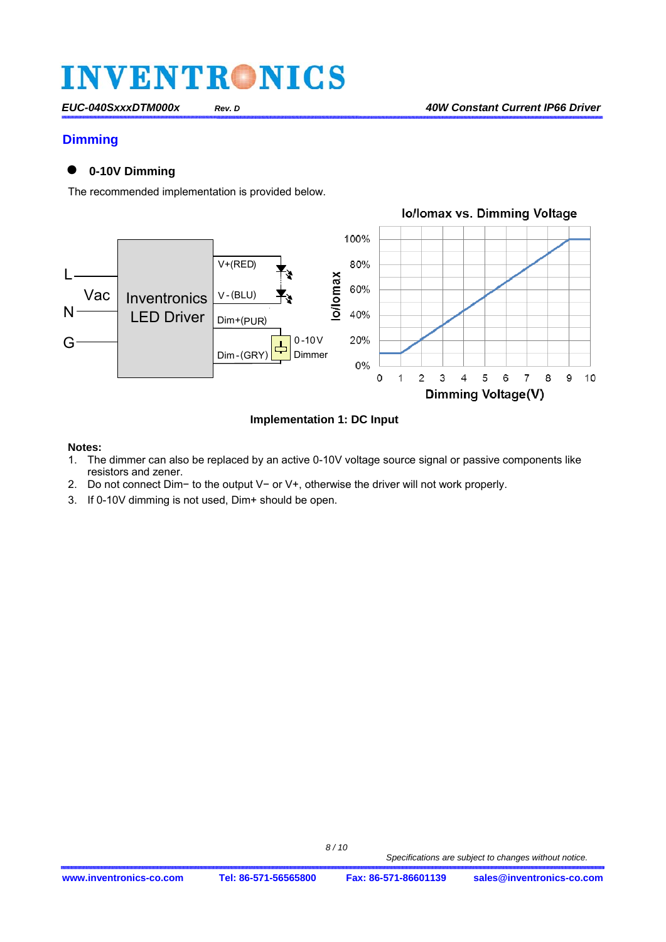#### **Dimming**

### **0-10V Dimming**

The recommended implementation is provided below.



**Implementation 1: DC Input** 

#### **Notes:**

- 1. The dimmer can also be replaced by an active 0-10V voltage source signal or passive components like resistors and zener.
- 2. Do not connect Dim− to the output V− or V+, otherwise the driver will not work properly.
- 3. If 0-10V dimming is not used, Dim+ should be open.

 *8 / 10*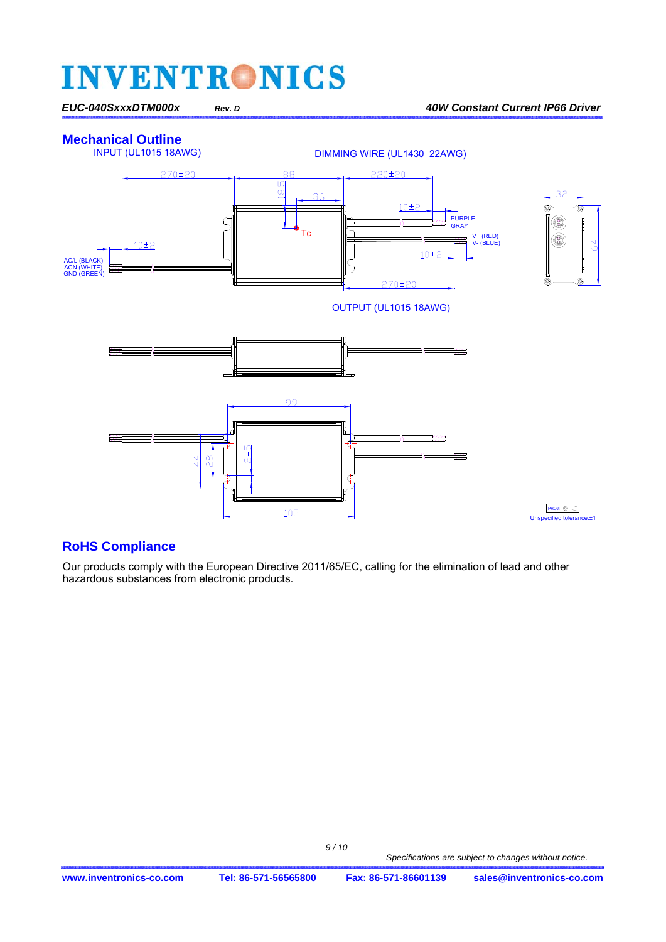### **Mechanical Outline**<br>INPUT (UL1015 18AWG)



#### **RoHS Compliance**

Our products comply with the European Directive 2011/65/EC, calling for the elimination of lead and other hazardous substances from electronic products.